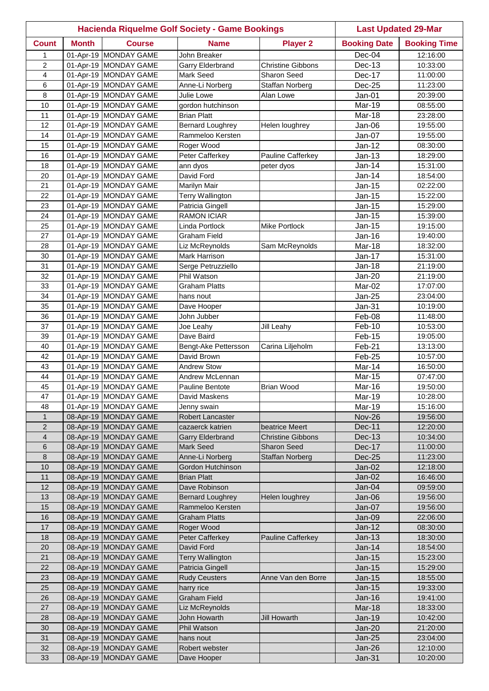|                |              |                                                | <b>Hacienda Riquelme Golf Society - Game Bookings</b> |                          | <b>Last Updated 29-Mar</b>     |                      |
|----------------|--------------|------------------------------------------------|-------------------------------------------------------|--------------------------|--------------------------------|----------------------|
| <b>Count</b>   | <b>Month</b> | <b>Course</b>                                  | <b>Name</b>                                           | <b>Player 2</b>          | <b>Booking Date</b>            | <b>Booking Time</b>  |
| 1              |              | 01-Apr-19 MONDAY GAME                          | John Breaker                                          |                          | Dec-04                         | 12:16:00             |
| 2              |              | 01-Apr-19 MONDAY GAME                          | Garry Elderbrand                                      | <b>Christine Gibbons</b> | Dec-13                         | 10:33:00             |
| 4              |              | 01-Apr-19 MONDAY GAME                          | Mark Seed                                             | Sharon Seed              | Dec-17                         | 11:00:00             |
| 6              |              | 01-Apr-19 MONDAY GAME                          | Anne-Li Norberg                                       | Staffan Norberg          | Dec-25                         | 11:23:00             |
| 8              |              | 01-Apr-19 MONDAY GAME                          | Julie Lowe                                            | Alan Lowe                | Jan-01                         | 20:39:00             |
| 10             |              | 01-Apr-19 MONDAY GAME                          | gordon hutchinson                                     |                          | Mar-19                         | 08:55:00             |
| 11             |              | 01-Apr-19 MONDAY GAME                          | <b>Brian Platt</b>                                    |                          | Mar-18                         | 23:28:00             |
| 12             |              | 01-Apr-19 MONDAY GAME                          | <b>Bernard Loughrey</b>                               | Helen loughrey           | Jan-06                         | 19:55:00             |
| 14             |              | 01-Apr-19 MONDAY GAME                          | Rammeloo Kersten                                      |                          | Jan-07                         | 19:55:00             |
| 15             |              | 01-Apr-19 MONDAY GAME                          | Roger Wood                                            |                          | Jan-12                         | 08:30:00             |
| 16             |              | 01-Apr-19 MONDAY GAME                          | Peter Cafferkey                                       | Pauline Cafferkey        | $Jan-13$                       | 18:29:00             |
| 18             |              | 01-Apr-19 MONDAY GAME                          | ann dyos                                              | peter dyos               | Jan-14                         | 15:31:00             |
| 20             |              | 01-Apr-19 MONDAY GAME                          | David Ford                                            |                          | Jan-14                         | 18:54:00             |
| 21             |              | 01-Apr-19 MONDAY GAME                          | <b>Marilyn Mair</b>                                   |                          | <b>Jan-15</b>                  | 02:22:00             |
| 22             |              | 01-Apr-19 MONDAY GAME                          | <b>Terry Wallington</b>                               |                          | <b>Jan-15</b>                  | 15:22:00             |
| 23             |              | 01-Apr-19 MONDAY GAME                          | Patricia Gingell                                      |                          | Jan-15                         | 15:29:00             |
| 24             |              | 01-Apr-19 MONDAY GAME                          | <b>RAMON ICIAR</b>                                    |                          | Jan-15                         | 15:39:00             |
| 25<br>27       |              | 01-Apr-19 MONDAY GAME                          | Linda Portlock                                        | <b>Mike Portlock</b>     | Jan-15                         | 19:15:00             |
| 28             |              | 01-Apr-19 MONDAY GAME<br>01-Apr-19 MONDAY GAME | Graham Field<br>Liz McReynolds                        | Sam McReynolds           | Jan-16<br>Mar-18               | 19:40:00             |
| 30             |              | 01-Apr-19 MONDAY GAME                          | Mark Harrison                                         |                          | Jan-17                         | 18:32:00<br>15:31:00 |
| 31             |              | 01-Apr-19 MONDAY GAME                          | Serge Petruzziello                                    |                          | <b>Jan-18</b>                  | 21:19:00             |
| 32             |              | 01-Apr-19 MONDAY GAME                          | Phil Watson                                           |                          | Jan-20                         | 21:19:00             |
| 33             |              | 01-Apr-19 MONDAY GAME                          | <b>Graham Platts</b>                                  |                          | Mar-02                         | 17:07:00             |
| 34             |              | 01-Apr-19 MONDAY GAME                          | hans nout                                             |                          | Jan-25                         | 23:04:00             |
| 35             |              | 01-Apr-19 MONDAY GAME                          | Dave Hooper                                           |                          | $Jan-31$                       | 10:19:00             |
| 36             |              | 01-Apr-19 MONDAY GAME                          | John Jubber                                           |                          | Feb-08                         | 11:48:00             |
| 37             |              | 01-Apr-19 MONDAY GAME                          | Joe Leahy                                             | Jill Leahy               | Feb-10                         | 10:53:00             |
| 39             |              | 01-Apr-19 MONDAY GAME                          | Dave Baird                                            |                          | Feb-15                         | 19:05:00             |
| 40             |              | 01-Apr-19 MONDAY GAME                          | Bengt-Ake Pettersson                                  | Carina Liljeholm         | Feb-21                         | 13:13:00             |
| 42             |              | 01-Apr-19 MONDAY GAME                          | David Brown                                           |                          | Feb-25                         | 10:57:00             |
| 43             |              | 01-Apr-19 MONDAY GAME                          | <b>Andrew Stow</b>                                    |                          | Mar-14                         | 16:50:00             |
| 44             |              | 01-Apr-19 MONDAY GAME                          | Andrew McLennan                                       |                          | Mar-15                         | 07:47:00             |
| 45             |              | 01-Apr-19 MONDAY GAME                          | Pauline Bentote                                       | <b>Brian Wood</b>        | Mar-16                         | 19:50:00             |
| 47             |              | 01-Apr-19 MONDAY GAME                          | David Maskens                                         |                          | Mar-19                         | 10:28:00             |
| 48             |              | 01-Apr-19 MONDAY GAME                          | Jenny swain                                           |                          | Mar-19                         | 15:16:00             |
| $\mathbf{1}$   |              | 08-Apr-19 MONDAY GAME                          | <b>Robert Lancaster</b>                               |                          | <b>Nov-26</b>                  | 19:56:00             |
| $\mathbf{2}$   |              | 08-Apr-19 MONDAY GAME                          | cazaerck katrien                                      | beatrice Meert           | <b>Dec-11</b>                  | 12:20:00             |
| $\overline{4}$ |              | 08-Apr-19 MONDAY GAME                          | <b>Garry Elderbrand</b>                               | <b>Christine Gibbons</b> | <b>Dec-13</b>                  | 10:34:00             |
| 6              |              | 08-Apr-19 MONDAY GAME                          | Mark Seed                                             | <b>Sharon Seed</b>       | Dec-17                         | 11:00:00             |
| $\,8\,$        |              | 08-Apr-19 MONDAY GAME                          | Anne-Li Norberg                                       | <b>Staffan Norberg</b>   | Dec-25                         | 11:23:00             |
| 10             |              | 08-Apr-19 MONDAY GAME                          | Gordon Hutchinson                                     |                          | Jan-02                         | 12:18:00             |
| 11             |              | 08-Apr-19 MONDAY GAME                          | <b>Brian Platt</b>                                    |                          | Jan-02                         | 16:46:00             |
| 12             |              | 08-Apr-19 MONDAY GAME                          | Dave Robinson                                         |                          | Jan-04                         | 09:59:00             |
| 13             |              | 08-Apr-19 MONDAY GAME                          | <b>Bernard Loughrey</b>                               | Helen loughrey           | Jan-06                         | 19:56:00             |
| 15             |              | 08-Apr-19 MONDAY GAME                          | Rammeloo Kersten                                      |                          | Jan-07                         | 19:56:00             |
| 16             |              | 08-Apr-19 MONDAY GAME                          | Graham Platts                                         |                          | Jan-09                         | 22:06:00             |
| 17             |              | 08-Apr-19 MONDAY GAME                          | Roger Wood                                            |                          | $Jan-12$                       | 08:30:00             |
| 18             |              | 08-Apr-19 MONDAY GAME                          | Peter Cafferkey                                       | <b>Pauline Cafferkey</b> | $Jan-13$                       | 18:30:00             |
| 20             |              | 08-Apr-19 MONDAY GAME                          | David Ford                                            |                          | Jan-14                         | 18:54:00             |
| 21<br>22       |              | 08-Apr-19 MONDAY GAME<br>08-Apr-19 MONDAY GAME | <b>Terry Wallington</b>                               |                          | <b>Jan-15</b>                  | 15:23:00<br>15:29:00 |
| 23             |              | 08-Apr-19 MONDAY GAME                          | Patricia Gingell<br><b>Rudy Ceusters</b>              |                          | <b>Jan-15</b><br><b>Jan-15</b> | 18:55:00             |
| 25             |              | 08-Apr-19 MONDAY GAME                          | harry rice                                            | Anne Van den Borre       | $Jan-15$                       | 19:33:00             |
| 26             |              | 08-Apr-19 MONDAY GAME                          | <b>Graham Field</b>                                   |                          | <b>Jan-16</b>                  | 19:41:00             |
| 27             |              | 08-Apr-19 MONDAY GAME                          | Liz McReynolds                                        |                          | Mar-18                         | 18:33:00             |
| 28             |              | 08-Apr-19 MONDAY GAME                          | John Howarth                                          | <b>Jill Howarth</b>      | Jan-19                         | 10:42:00             |
| 30             |              | 08-Apr-19 MONDAY GAME                          | Phil Watson                                           |                          | Jan-20                         | 21:20:00             |
| 31             |              | 08-Apr-19 MONDAY GAME                          | hans nout                                             |                          | <b>Jan-25</b>                  | 23:04:00             |
| 32             |              | 08-Apr-19 MONDAY GAME                          | Robert webster                                        |                          | Jan-26                         | 12:10:00             |
| 33             |              | 08-Apr-19 MONDAY GAME                          | Dave Hooper                                           |                          | <b>Jan-31</b>                  | 10:20:00             |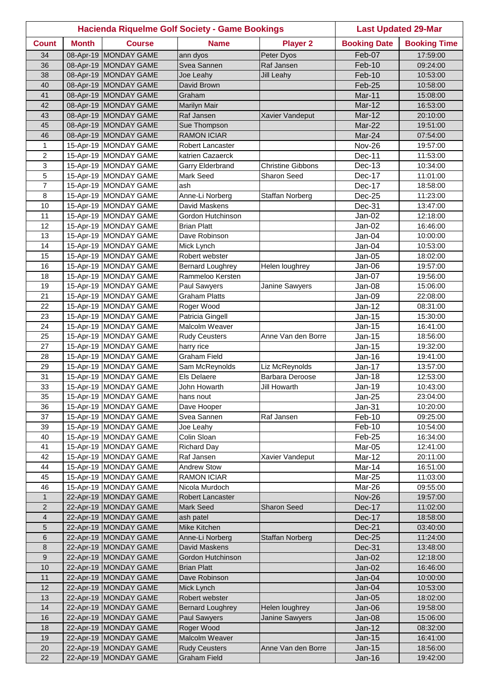|                     |              |                                                | <b>Hacienda Riquelme Golf Society - Game Bookings</b> |                                  | <b>Last Updated 29-Mar</b> |                      |
|---------------------|--------------|------------------------------------------------|-------------------------------------------------------|----------------------------------|----------------------------|----------------------|
| <b>Count</b>        | <b>Month</b> | <b>Course</b>                                  | <b>Name</b>                                           | <b>Player 2</b>                  | <b>Booking Date</b>        | <b>Booking Time</b>  |
| 34                  |              | 08-Apr-19 MONDAY GAME                          | ann dyos                                              | Peter Dyos                       | Feb-07                     | 17:59:00             |
| 36                  |              | 08-Apr-19 MONDAY GAME                          | Svea Sannen                                           | Raf Jansen                       | Feb-10                     | 09:24:00             |
| 38                  |              | 08-Apr-19 MONDAY GAME                          | Joe Leahy                                             | <b>Jill Leahy</b>                | Feb-10                     | 10:53:00             |
| 40                  |              | 08-Apr-19 MONDAY GAME                          | David Brown                                           |                                  | Feb-25                     | 10:58:00             |
| 41                  |              | 08-Apr-19 MONDAY GAME                          | Graham                                                |                                  | Mar-11                     | 15:08:00             |
| 42                  |              | 08-Apr-19 MONDAY GAME                          | <b>Marilyn Mair</b>                                   |                                  | <b>Mar-12</b>              | 16:53:00             |
| 43                  |              | 08-Apr-19 MONDAY GAME                          | Raf Jansen                                            | Xavier Vandeput                  | Mar-12                     | 20:10:00             |
| 45                  |              | 08-Apr-19 MONDAY GAME                          | Sue Thompson                                          |                                  | Mar-22                     | 19:51:00             |
| 46                  |              | 08-Apr-19 MONDAY GAME                          | <b>RAMON ICIAR</b>                                    |                                  | Mar-24                     | 07:54:00             |
| $\mathbf{1}$        |              | 15-Apr-19 MONDAY GAME                          | Robert Lancaster                                      |                                  | <b>Nov-26</b>              | 19:57:00             |
| $\overline{c}$      |              | 15-Apr-19 MONDAY GAME                          | katrien Cazaerck                                      |                                  | Dec-11                     | 11:53:00             |
| 3                   |              | 15-Apr-19 MONDAY GAME                          | Garry Elderbrand                                      | <b>Christine Gibbons</b>         | Dec-13                     | 10:34:00             |
| 5                   |              | 15-Apr-19 MONDAY GAME                          | <b>Mark Seed</b>                                      | <b>Sharon Seed</b>               | Dec-17                     | 11:01:00             |
| 7                   |              | 15-Apr-19 MONDAY GAME                          | ash                                                   |                                  | Dec-17                     | 18:58:00             |
| 8                   |              | 15-Apr-19 MONDAY GAME                          | Anne-Li Norberg                                       | Staffan Norberg                  | Dec-25                     | 11:23:00             |
| 10                  |              | 15-Apr-19 MONDAY GAME                          | David Maskens                                         |                                  | Dec-31                     | 13:47:00             |
| 11                  |              | 15-Apr-19 MONDAY GAME                          | Gordon Hutchinson                                     |                                  | Jan-02                     | 12:18:00             |
| 12                  |              | 15-Apr-19 MONDAY GAME                          | <b>Brian Platt</b>                                    |                                  | Jan-02                     | 16:46:00             |
| 13                  |              | 15-Apr-19 MONDAY GAME                          | Dave Robinson                                         |                                  | Jan-04                     | 10:00:00             |
| 14                  |              | 15-Apr-19 MONDAY GAME                          | Mick Lynch                                            |                                  | Jan-04                     | 10:53:00             |
| 15                  |              | 15-Apr-19 MONDAY GAME                          | Robert webster                                        |                                  | Jan-05                     | 18:02:00             |
| 16                  |              | 15-Apr-19 MONDAY GAME                          | <b>Bernard Loughrey</b>                               | Helen loughrey                   | Jan-06                     | 19:57:00             |
| 18                  |              | 15-Apr-19 MONDAY GAME                          | Rammeloo Kersten                                      |                                  | Jan-07                     | 19:56:00             |
| 19                  |              | 15-Apr-19 MONDAY GAME                          | Paul Sawyers                                          | Janine Sawyers                   | Jan-08                     | 15:06:00             |
| 21                  |              | 15-Apr-19 MONDAY GAME                          | <b>Graham Platts</b>                                  |                                  | Jan-09                     | 22:08:00             |
| 22                  |              | 15-Apr-19 MONDAY GAME                          | Roger Wood                                            |                                  | $Jan-12$                   | 08:31:00             |
| 23                  |              | 15-Apr-19 MONDAY GAME                          | Patricia Gingell                                      |                                  | Jan-15                     | 15:30:00             |
| 24                  |              | 15-Apr-19 MONDAY GAME                          | Malcolm Weaver                                        |                                  | Jan-15                     | 16:41:00             |
| 25                  |              | 15-Apr-19 MONDAY GAME                          | <b>Rudy Ceusters</b>                                  | Anne Van den Borre               | Jan-15                     | 18:56:00             |
| 27                  |              | 15-Apr-19 MONDAY GAME                          | harry rice                                            |                                  | Jan-15                     | 19:32:00             |
| 28                  |              | 15-Apr-19 MONDAY GAME                          | <b>Graham Field</b>                                   |                                  | Jan-16                     | 19:41:00             |
| 29                  |              | 15-Apr-19 MONDAY GAME                          | Sam McReynolds                                        | Liz McReynolds                   | Jan-17                     | 13:57:00             |
| 31                  |              | 15-Apr-19 MONDAY GAME                          | <b>Els Delaere</b>                                    | <b>Barbara Deroose</b>           | Jan-18                     | 12:53:00             |
| 33                  |              | 15-Apr-19 MONDAY GAME                          | John Howarth                                          | <b>Jill Howarth</b>              | Jan-19                     | 10:43:00             |
| 35                  |              | 15-Apr-19 MONDAY GAME                          | hans nout                                             |                                  | $Jan-25$                   | 23:04:00             |
| 36                  |              | 15-Apr-19 MONDAY GAME                          | Dave Hooper                                           |                                  | Jan-31                     | 10:20:00             |
| 37                  |              | 15-Apr-19 MONDAY GAME                          | Svea Sannen                                           | Raf Jansen                       | Feb-10                     | 09:25:00             |
| 39                  |              | 15-Apr-19 MONDAY GAME                          | Joe Leahy                                             |                                  | Feb-10                     | 10:54:00             |
| 40                  |              | 15-Apr-19 MONDAY GAME                          | Colin Sloan                                           |                                  | Feb-25                     | 16:34:00             |
| 41                  |              | 15-Apr-19 MONDAY GAME                          | <b>Richard Day</b>                                    |                                  | Mar-05                     | 12:41:00             |
| 42                  |              | 15-Apr-19 MONDAY GAME                          | Raf Jansen                                            | Xavier Vandeput                  | Mar-12                     | 20:11:00             |
| 44                  |              | 15-Apr-19 MONDAY GAME                          | <b>Andrew Stow</b>                                    |                                  | Mar-14                     | 16:51:00             |
| 45                  |              | 15-Apr-19 MONDAY GAME                          | <b>RAMON ICIAR</b>                                    |                                  | Mar-25                     | 11:03:00             |
| 46                  |              | 15-Apr-19 MONDAY GAME                          | Nicola Murdoch                                        |                                  | Mar-26                     | 09:55:00             |
| $\mathbf{1}$        |              | 22-Apr-19 MONDAY GAME                          | Robert Lancaster                                      |                                  | <b>Nov-26</b>              | 19:57:00             |
| $\overline{2}$<br>4 |              | 22-Apr-19 MONDAY GAME<br>22-Apr-19 MONDAY GAME | Mark Seed                                             | <b>Sharon Seed</b>               | Dec-17<br>Dec-17           | 11:02:00             |
| 5                   |              | 22-Apr-19 MONDAY GAME                          | ash patel<br>Mike Kitchen                             |                                  |                            | 18:58:00             |
| 6                   |              | 22-Apr-19 MONDAY GAME                          | Anne-Li Norberg                                       |                                  | Dec-21                     | 03:40:00             |
| $\bf 8$             |              | 22-Apr-19 MONDAY GAME                          | David Maskens                                         | <b>Staffan Norberg</b>           | $Dec-25$<br><b>Dec-31</b>  | 11:24:00             |
| $\boldsymbol{9}$    |              | 22-Apr-19 MONDAY GAME                          | Gordon Hutchinson                                     |                                  | $Jan-02$                   | 13:48:00<br>12:18:00 |
| 10                  |              | 22-Apr-19 MONDAY GAME                          | <b>Brian Platt</b>                                    |                                  | Jan-02                     |                      |
| 11                  |              | 22-Apr-19 MONDAY GAME                          | Dave Robinson                                         |                                  | Jan-04                     | 16:46:00<br>10:00:00 |
| 12                  |              | 22-Apr-19 MONDAY GAME                          | Mick Lynch                                            |                                  | Jan-04                     | 10:53:00             |
| 13                  |              | 22-Apr-19 MONDAY GAME                          | Robert webster                                        |                                  | $Jan-05$                   | 18:02:00             |
| 14                  |              | 22-Apr-19 MONDAY GAME                          | <b>Bernard Loughrey</b>                               |                                  |                            | 19:58:00             |
| 16                  |              | 22-Apr-19 MONDAY GAME                          | <b>Paul Sawyers</b>                                   | Helen loughrey<br>Janine Sawyers | Jan-06<br>Jan-08           | 15:06:00             |
| 18                  |              | 22-Apr-19 MONDAY GAME                          | Roger Wood                                            |                                  | Jan-12                     | 08:32:00             |
| 19                  |              | 22-Apr-19 MONDAY GAME                          | Malcolm Weaver                                        |                                  | Jan-15                     | 16:41:00             |
| 20                  |              | 22-Apr-19 MONDAY GAME                          | <b>Rudy Ceusters</b>                                  | Anne Van den Borre               | Jan-15                     | 18:56:00             |
| 22                  |              | 22-Apr-19 MONDAY GAME                          | <b>Graham Field</b>                                   |                                  | <b>Jan-16</b>              | 19:42:00             |
|                     |              |                                                |                                                       |                                  |                            |                      |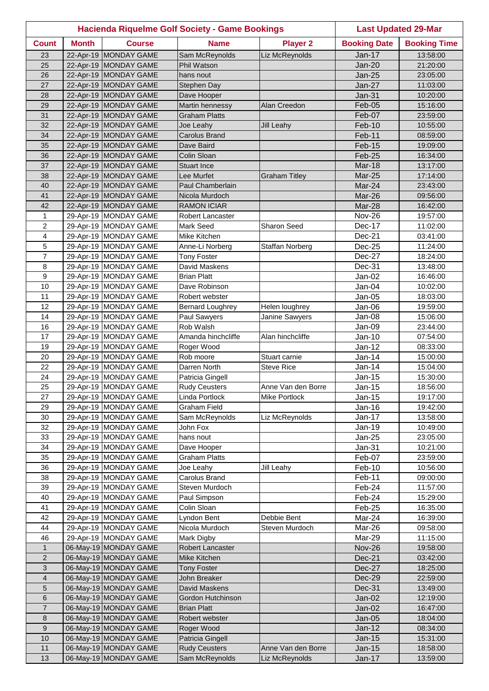|                         |              |                                                | Hacienda Riquelme Golf Society - Game Bookings |                      | <b>Last Updated 29-Mar</b> |                      |
|-------------------------|--------------|------------------------------------------------|------------------------------------------------|----------------------|----------------------------|----------------------|
| <b>Count</b>            | <b>Month</b> | <b>Course</b>                                  | <b>Name</b>                                    | <b>Player 2</b>      | <b>Booking Date</b>        | <b>Booking Time</b>  |
| 23                      |              | 22-Apr-19 MONDAY GAME                          | Sam McReynolds                                 | Liz McReynolds       | Jan-17                     | 13:58:00             |
| 25                      |              | 22-Apr-19 MONDAY GAME                          | <b>Phil Watson</b>                             |                      | <b>Jan-20</b>              | 21:20:00             |
| 26                      |              | 22-Apr-19 MONDAY GAME                          | hans nout                                      |                      | <b>Jan-25</b>              | 23:05:00             |
| 27                      |              | 22-Apr-19 MONDAY GAME                          | Stephen Day                                    |                      | $Jan-27$                   | 11:03:00             |
| 28                      |              | 22-Apr-19 MONDAY GAME                          | Dave Hooper                                    |                      | $Jan-31$                   | 10:20:00             |
| 29                      |              | 22-Apr-19 MONDAY GAME                          | Martin hennessy                                | Alan Creedon         | Feb-05                     | 15:16:00             |
| 31                      |              | 22-Apr-19 MONDAY GAME                          | <b>Graham Platts</b>                           |                      | Feb-07                     | 23:59:00             |
| 32                      |              | 22-Apr-19 MONDAY GAME                          | Joe Leahy                                      | <b>Jill Leahy</b>    | Feb-10                     | 10:55:00             |
| 34                      |              | 22-Apr-19 MONDAY GAME                          | <b>Carolus Brand</b>                           |                      | Feb-11                     | 08:59:00             |
| 35                      |              | 22-Apr-19 MONDAY GAME                          | Dave Baird                                     |                      | Feb-15                     | 19:09:00             |
| 36                      |              | 22-Apr-19 MONDAY GAME                          | Colin Sloan                                    |                      | Feb-25                     | 16:34:00             |
| 37                      |              | 22-Apr-19 MONDAY GAME                          | <b>Stuart Ince</b>                             |                      | Mar-18                     | 13:17:00             |
| 38                      |              | 22-Apr-19 MONDAY GAME                          | Lee Murfet                                     | <b>Graham Titley</b> | Mar-25                     | 17:14:00             |
| 40                      |              | 22-Apr-19 MONDAY GAME                          | Paul Chamberlain                               |                      | Mar-24                     | 23:43:00             |
| 41                      |              | 22-Apr-19 MONDAY GAME                          | Nicola Murdoch                                 |                      | Mar-26                     | 09:56:00             |
| 42                      |              | 22-Apr-19 MONDAY GAME                          | <b>RAMON ICIAR</b>                             |                      | Mar-28                     | 16:42:00             |
| 1                       |              | 29-Apr-19 MONDAY GAME                          | Robert Lancaster                               |                      | <b>Nov-26</b>              | 19:57:00             |
| $\overline{2}$          |              | 29-Apr-19 MONDAY GAME                          | Mark Seed                                      | Sharon Seed          | Dec-17                     | 11:02:00             |
| 4                       |              | 29-Apr-19 MONDAY GAME                          | Mike Kitchen                                   |                      | Dec-21                     | 03:41:00             |
| 5                       |              | 29-Apr-19 MONDAY GAME                          | Anne-Li Norberg                                | Staffan Norberg      | Dec-25                     | 11:24:00             |
| $\overline{7}$          |              | 29-Apr-19 MONDAY GAME                          | <b>Tony Foster</b>                             |                      | Dec-27                     | 18:24:00             |
| 8                       |              | 29-Apr-19 MONDAY GAME                          | David Maskens                                  |                      | Dec-31                     | 13:48:00             |
| $\boldsymbol{9}$        |              | 29-Apr-19 MONDAY GAME                          | <b>Brian Platt</b>                             |                      | Jan-02                     | 16:46:00             |
| 10                      |              | 29-Apr-19 MONDAY GAME                          | Dave Robinson                                  |                      | Jan-04                     | 10:02:00             |
| 11                      |              | 29-Apr-19 MONDAY GAME                          | Robert webster                                 |                      | Jan-05                     | 18:03:00             |
| 12<br>14                |              | 29-Apr-19 MONDAY GAME                          | <b>Bernard Loughrey</b>                        | Helen loughrey       | Jan-06                     | 19:59:00             |
|                         |              | 29-Apr-19 MONDAY GAME<br>29-Apr-19 MONDAY GAME | Paul Sawyers<br>Rob Walsh                      | Janine Sawyers       | Jan-08                     | 15:06:00             |
| 16<br>17                |              | 29-Apr-19 MONDAY GAME                          | Amanda hinchcliffe                             | Alan hinchcliffe     | Jan-09<br>Jan-10           | 23:44:00<br>07:54:00 |
| 19                      |              | 29-Apr-19 MONDAY GAME                          | Roger Wood                                     |                      | Jan-12                     | 08:33:00             |
| 20                      |              | 29-Apr-19 MONDAY GAME                          | Rob moore                                      | Stuart carnie        | Jan-14                     | 15:00:00             |
| 22                      |              | 29-Apr-19 MONDAY GAME                          | Darren North                                   | <b>Steve Rice</b>    | Jan-14                     | 15:04:00             |
| 24                      |              | 29-Apr-19 MONDAY GAME                          | Patricia Gingell                               |                      | Jan-15                     | 15:30:00             |
| 25                      |              | 29-Apr-19 MONDAY GAME                          | <b>Rudy Ceusters</b>                           | Anne Van den Borre   | $Jan-15$                   | 18:56:00             |
| 27                      |              | 29-Apr-19 MONDAY GAME                          | Linda Portlock                                 | Mike Portlock        | $Jan-15$                   | 19:17:00             |
| 29                      |              | 29-Apr-19 MONDAY GAME                          | Graham Field                                   |                      | Jan-16                     | 19:42:00             |
| 30                      |              | 29-Apr-19 MONDAY GAME                          | Sam McReynolds                                 | Liz McReynolds       | Jan-17                     | 13:58:00             |
| 32                      |              | 29-Apr-19 MONDAY GAME                          | John Fox                                       |                      | Jan-19                     | 10:49:00             |
| 33                      |              | 29-Apr-19 MONDAY GAME                          | hans nout                                      |                      | Jan-25                     | 23:05:00             |
| 34                      |              | 29-Apr-19 MONDAY GAME                          | Dave Hooper                                    |                      | Jan-31                     | 10:21:00             |
| 35                      |              | 29-Apr-19 MONDAY GAME                          | <b>Graham Platts</b>                           |                      | Feb-07                     | 23:59:00             |
| 36                      |              | 29-Apr-19 MONDAY GAME                          | Joe Leahy                                      | Jill Leahy           | Feb-10                     | 10:56:00             |
| 38                      |              | 29-Apr-19 MONDAY GAME                          | Carolus Brand                                  |                      | Feb-11                     | 09:00:00             |
| 39                      |              | 29-Apr-19 MONDAY GAME                          | Steven Murdoch                                 |                      | Feb-24                     | 11:57:00             |
| 40                      |              | 29-Apr-19 MONDAY GAME                          | Paul Simpson                                   |                      | Feb-24                     | 15:29:00             |
| 41                      |              | 29-Apr-19 MONDAY GAME                          | Colin Sloan                                    |                      | Feb-25                     | 16:35:00             |
| 42                      |              | 29-Apr-19 MONDAY GAME                          | Lyndon Bent                                    | Debbie Bent          | Mar-24                     | 16:39:00             |
| 44                      |              | 29-Apr-19 MONDAY GAME                          | Nicola Murdoch                                 | Steven Murdoch       | Mar-26                     | 09:58:00             |
| 46                      |              | 29-Apr-19 MONDAY GAME                          | Mark Digby                                     |                      | Mar-29                     | 11:15:00             |
| $\mathbf{1}$            |              | 06-May-19 MONDAY GAME                          | Robert Lancaster                               |                      | <b>Nov-26</b>              | 19:58:00             |
| $\overline{2}$          |              | 06-May-19 MONDAY GAME                          | Mike Kitchen                                   |                      | <b>Dec-21</b>              | 03:42:00             |
| 3                       |              | 06-May-19 MONDAY GAME                          | <b>Tony Foster</b>                             |                      | Dec-27                     | 18:25:00             |
| $\overline{\mathbf{4}}$ |              | 06-May-19 MONDAY GAME                          | John Breaker                                   |                      | Dec-29                     | 22:59:00             |
| 5                       |              | 06-May-19 MONDAY GAME                          | David Maskens                                  |                      | <b>Dec-31</b>              | 13:49:00             |
| 6                       |              | 06-May-19 MONDAY GAME                          | Gordon Hutchinson                              |                      | Jan-02                     | 12:19:00             |
| $\overline{7}$          |              | 06-May-19 MONDAY GAME                          | <b>Brian Platt</b>                             |                      | Jan-02                     | 16:47:00             |
| 8                       |              | 06-May-19 MONDAY GAME                          | Robert webster                                 |                      | $Jan-05$                   | 18:04:00             |
| 9                       |              | 06-May-19 MONDAY GAME                          | Roger Wood                                     |                      | $Jan-12$                   | 08:34:00             |
| 10                      |              | 06-May-19 MONDAY GAME                          | Patricia Gingell                               |                      | Jan-15                     | 15:31:00             |
| 11                      |              | 06-May-19 MONDAY GAME                          | <b>Rudy Ceusters</b>                           | Anne Van den Borre   | Jan-15                     | 18:58:00             |
| 13                      |              | 06-May-19 MONDAY GAME                          | Sam McReynolds                                 | Liz McReynolds       | $Jan-17$                   | 13:59:00             |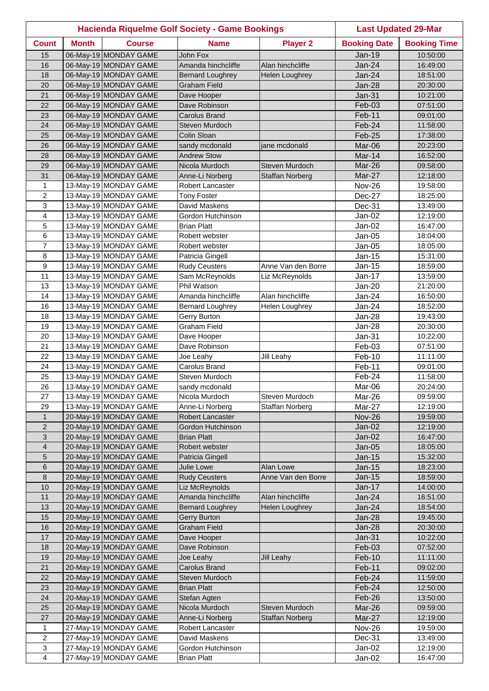|                  |              |                       | <b>Hacienda Riquelme Golf Society - Game Bookings</b> |                        | <b>Last Updated 29-Mar</b> |                     |
|------------------|--------------|-----------------------|-------------------------------------------------------|------------------------|----------------------------|---------------------|
| <b>Count</b>     | <b>Month</b> | <b>Course</b>         | <b>Name</b>                                           | <b>Player 2</b>        | <b>Booking Date</b>        | <b>Booking Time</b> |
| 15               |              | 06-May-19 MONDAY GAME | <b>John Fox</b>                                       |                        | <b>Jan-19</b>              | 10:50:00            |
| 16               |              | 06-May-19 MONDAY GAME | Amanda hinchcliffe                                    | Alan hinchcliffe       | Jan-24                     | 16:49:00            |
| 18               |              | 06-May-19 MONDAY GAME | <b>Bernard Loughrey</b>                               | <b>Helen Loughrey</b>  | Jan-24                     | 18:51:00            |
| 20               |              | 06-May-19 MONDAY GAME | <b>Graham Field</b>                                   |                        | Jan-28                     | 20:30:00            |
| 21               |              | 06-May-19 MONDAY GAME | Dave Hooper                                           |                        | $Jan-31$                   | 10:21:00            |
| 22               |              | 06-May-19 MONDAY GAME | Dave Robinson                                         |                        | Feb-03                     | 07:51:00            |
| 23               |              | 06-May-19 MONDAY GAME | <b>Carolus Brand</b>                                  |                        | Feb-11                     | 09:01:00            |
| 24               |              | 06-May-19 MONDAY GAME | Steven Murdoch                                        |                        | Feb-24                     | 11:58:00            |
| 25               |              | 06-May-19 MONDAY GAME | Colin Sloan                                           |                        | Feb-25                     | 17:38:00            |
| 26               |              | 06-May-19 MONDAY GAME | sandy mcdonald                                        | jane mcdonald          | Mar-06                     | 20:23:00            |
| 28               |              | 06-May-19 MONDAY GAME | <b>Andrew Stow</b>                                    |                        | Mar-14                     | 16:52:00            |
| 29               |              | 06-May-19 MONDAY GAME | Nicola Murdoch                                        | Steven Murdoch         | Mar-26                     | 09:58:00            |
| 31               |              | 06-May-19 MONDAY GAME | Anne-Li Norberg                                       | <b>Staffan Norberg</b> | Mar-27                     | 12:18:00            |
| $\mathbf{1}$     |              | 13-May-19 MONDAY GAME | Robert Lancaster                                      |                        | <b>Nov-26</b>              | 19:58:00            |
| $\overline{c}$   |              | 13-May-19 MONDAY GAME | <b>Tony Foster</b>                                    |                        | Dec-27                     | 18:25:00            |
| 3                |              | 13-May-19 MONDAY GAME | David Maskens                                         |                        | Dec-31                     | 13:49:00            |
| 4                |              | 13-May-19 MONDAY GAME | Gordon Hutchinson                                     |                        | Jan-02                     | 12:19:00            |
| 5                |              | 13-May-19 MONDAY GAME | <b>Brian Platt</b>                                    |                        | Jan-02                     | 16:47:00            |
| 6                |              | 13-May-19 MONDAY GAME | Robert webster                                        |                        | Jan-05                     | 18:04:00            |
| $\overline{7}$   |              | 13-May-19 MONDAY GAME | Robert webster                                        |                        | Jan-05                     | 18:05:00            |
| 8                |              | 13-May-19 MONDAY GAME | Patricia Gingell                                      |                        | Jan-15                     | 15:31:00            |
| $\boldsymbol{9}$ |              | 13-May-19 MONDAY GAME | <b>Rudy Ceusters</b>                                  | Anne Van den Borre     | Jan-15                     | 18:59:00            |
| 11               |              | 13-May-19 MONDAY GAME | Sam McReynolds                                        | Liz McReynolds         | Jan-17                     | 13:59:00            |
| 13               |              | 13-May-19 MONDAY GAME | Phil Watson                                           |                        | Jan-20                     | 21:20:00            |
| 14               |              | 13-May-19 MONDAY GAME | Amanda hinchcliffe                                    | Alan hinchcliffe       | Jan-24                     | 16:50:00            |
| 16               |              | 13-May-19 MONDAY GAME | <b>Bernard Loughrey</b>                               | Helen Loughrey         | Jan-24                     | 18:52:00            |
| 18               |              | 13-May-19 MONDAY GAME | Gerry Burton                                          |                        | Jan-28                     | 19:43:00            |
| 19               |              | 13-May-19 MONDAY GAME | <b>Graham Field</b>                                   |                        | Jan-28                     | 20:30:00            |
| 20               |              | 13-May-19 MONDAY GAME | Dave Hooper                                           |                        | Jan-31                     | 10:22:00            |
| 21               |              | 13-May-19 MONDAY GAME | Dave Robinson                                         |                        | Feb-03                     | 07:51:00            |
| 22               |              | 13-May-19 MONDAY GAME | Joe Leahy                                             | Jill Leahy             | Feb-10                     | 11:11:00            |
| 24               |              | 13-May-19 MONDAY GAME | Carolus Brand                                         |                        | Feb-11                     | 09:01:00            |
| 25               |              | 13-May-19 MONDAY GAME | Steven Murdoch                                        |                        | Feb-24                     | 11:58:00            |
| 26               |              | 13-May-19 MONDAY GAME | sandy mcdonald                                        |                        | Mar-06                     | 20:24:00            |
| 27               |              | 13-May-19 MONDAY GAME | Nicola Murdoch                                        | Steven Murdoch         | Mar-26                     | 09:59:00            |
| 29               |              | 13-May-19 MONDAY GAME | Anne-Li Norberg                                       | Staffan Norberg        | Mar-27                     | 12:19:00            |
| $\mathbf{1}$     |              | 20-May-19 MONDAY GAME | Robert Lancaster                                      |                        | <b>Nov-26</b>              | 19:59:00            |
| $\overline{2}$   |              | 20-May-19 MONDAY GAME | Gordon Hutchinson                                     |                        | $Jan-02$                   | 12:19:00            |
| $\sqrt{3}$       |              | 20-May-19 MONDAY GAME | <b>Brian Platt</b>                                    |                        | $Jan-02$                   | 16:47:00            |
| $\overline{4}$   |              | 20-May-19 MONDAY GAME | Robert webster                                        |                        | $Jan-05$                   | 18:05:00            |
| 5                |              | 20-May-19 MONDAY GAME | Patricia Gingell                                      |                        | Jan-15                     | 15:32:00            |
| $\,6$            |              | 20-May-19 MONDAY GAME | Julie Lowe                                            | Alan Lowe              | $Jan-15$                   | 18:23:00            |
| $\,8\,$          |              | 20-May-19 MONDAY GAME | <b>Rudy Ceusters</b>                                  | Anne Van den Borre     | Jan-15                     | 18:59:00            |
| 10               |              | 20-May-19 MONDAY GAME | Liz McReynolds                                        |                        | Jan-17                     | 14:00:00            |
| 11               |              | 20-May-19 MONDAY GAME | Amanda hinchcliffe                                    | Alan hinchcliffe       | $Jan-24$                   | 16:51:00            |
| 13               |              | 20-May-19 MONDAY GAME | <b>Bernard Loughrey</b>                               | Helen Loughrey         | $Jan-24$                   | 18:54:00            |
| 15               |              | 20-May-19 MONDAY GAME | Gerry Burton                                          |                        | Jan-28                     | 19:45:00            |
| 16               |              | 20-May-19 MONDAY GAME | <b>Graham Field</b>                                   |                        | Jan-28                     | 20:30:00            |
| 17               |              | 20-May-19 MONDAY GAME | Dave Hooper                                           |                        | $Jan-31$                   | 10:22:00            |
| 18               |              | 20-May-19 MONDAY GAME | Dave Robinson                                         |                        | Feb-03                     | 07:52:00            |
| 19               |              | 20-May-19 MONDAY GAME | Joe Leahy                                             | <b>Jill Leahy</b>      | Feb-10                     | 11:11:00            |
| 21               |              | 20-May-19 MONDAY GAME | Carolus Brand                                         |                        | Feb-11                     | 09:02:00            |
| 22               |              | 20-May-19 MONDAY GAME | Steven Murdoch                                        |                        | Feb-24                     | 11:59:00            |
| 23               |              | 20-May-19 MONDAY GAME | <b>Brian Platt</b>                                    |                        | Feb-24                     | 12:50:00            |
| 24               |              | 20-May-19 MONDAY GAME | Stefan Agten                                          |                        | Feb-26                     | 13:50:00            |
| 25               |              | 20-May-19 MONDAY GAME | Nicola Murdoch                                        | Steven Murdoch         | Mar-26                     | 09:59:00            |
| 27               |              | 20-May-19 MONDAY GAME | Anne-Li Norberg                                       | <b>Staffan Norberg</b> | Mar-27                     | 12:19:00            |
| $\mathbf{1}$     |              | 27-May-19 MONDAY GAME | Robert Lancaster                                      |                        | <b>Nov-26</b>              | 19:59:00            |
| $\overline{2}$   |              | 27-May-19 MONDAY GAME | David Maskens                                         |                        | Dec-31                     | 13:49:00            |
| 3                |              | 27-May-19 MONDAY GAME | Gordon Hutchinson                                     |                        | $Jan-02$                   | 12:19:00            |
| 4                |              | 27-May-19 MONDAY GAME | <b>Brian Platt</b>                                    |                        | Jan-02                     | 16:47:00            |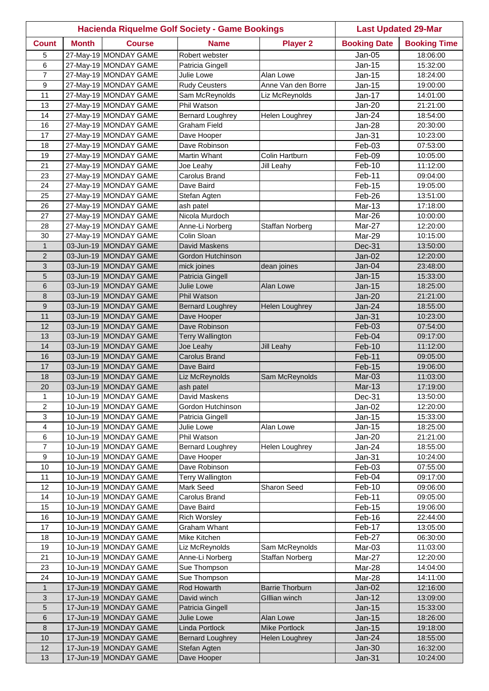|                |              |                                                | <b>Hacienda Riquelme Golf Society - Game Bookings</b> |                        | <b>Last Updated 29-Mar</b> |                      |
|----------------|--------------|------------------------------------------------|-------------------------------------------------------|------------------------|----------------------------|----------------------|
| <b>Count</b>   | <b>Month</b> | <b>Course</b>                                  | <b>Name</b>                                           | <b>Player 2</b>        | <b>Booking Date</b>        | <b>Booking Time</b>  |
| 5              |              | 27-May-19 MONDAY GAME                          | Robert webster                                        |                        | Jan-05                     | 18:06:00             |
| 6              |              | 27-May-19 MONDAY GAME                          | Patricia Gingell                                      |                        | Jan-15                     | 15:32:00             |
| $\overline{7}$ |              | 27-May-19 MONDAY GAME                          | Julie Lowe                                            | Alan Lowe              | Jan-15                     | 18:24:00             |
| 9              |              | 27-May-19 MONDAY GAME                          | Rudy Ceusters                                         | Anne Van den Borre     | Jan-15                     | 19:00:00             |
| 11             |              | 27-May-19 MONDAY GAME                          | Sam McReynolds                                        | Liz McReynolds         | Jan-17                     | 14:01:00             |
| 13             |              | 27-May-19 MONDAY GAME                          | Phil Watson                                           |                        | Jan-20                     | 21:21:00             |
| 14             |              | 27-May-19 MONDAY GAME                          | <b>Bernard Loughrey</b>                               | Helen Loughrey         | Jan-24                     | 18:54:00             |
| 16             |              | 27-May-19 MONDAY GAME                          | <b>Graham Field</b>                                   |                        | Jan-28                     | 20:30:00             |
| 17             |              | 27-May-19 MONDAY GAME                          | Dave Hooper                                           |                        | Jan-31                     | 10:23:00             |
| 18             |              | 27-May-19 MONDAY GAME                          | Dave Robinson                                         |                        | Feb-03                     | 07:53:00             |
| 19             |              | 27-May-19 MONDAY GAME                          | Martin Whant                                          | Colin Hartburn         | Feb-09                     | 10:05:00             |
| 21             |              | 27-May-19 MONDAY GAME                          | Joe Leahy                                             | Jill Leahy             | Feb-10                     | 11:12:00             |
| 23             |              | 27-May-19 MONDAY GAME                          | Carolus Brand                                         |                        | Feb-11                     | 09:04:00             |
| 24             |              | 27-May-19 MONDAY GAME                          | Dave Baird                                            |                        | Feb-15                     | 19:05:00             |
| 25             |              | 27-May-19 MONDAY GAME                          | Stefan Agten                                          |                        | Feb-26                     | 13:51:00             |
| 26<br>27       |              | 27-May-19 MONDAY GAME<br>27-May-19 MONDAY GAME | ash patel                                             |                        | Mar-13                     | 17:18:00             |
| 28             |              | 27-May-19 MONDAY GAME                          | Nicola Murdoch                                        |                        | Mar-26                     | 10:00:00             |
| 30             |              | 27-May-19 MONDAY GAME                          | Anne-Li Norberg<br>Colin Sloan                        | Staffan Norberg        | Mar-27<br>Mar-29           | 12:20:00<br>10:15:00 |
| $\mathbf{1}$   |              | 03-Jun-19 MONDAY GAME                          | David Maskens                                         |                        | Dec-31                     |                      |
| $\overline{2}$ |              | 03-Jun-19 MONDAY GAME                          | Gordon Hutchinson                                     |                        | Jan-02                     | 13:50:00             |
| 3              |              | 03-Jun-19 MONDAY GAME                          | mick joines                                           | dean joines            | Jan-04                     | 12:20:00<br>23:48:00 |
| 5              |              | 03-Jun-19 MONDAY GAME                          | Patricia Gingell                                      |                        | $Jan-15$                   | 15:33:00             |
| $6\phantom{1}$ |              | 03-Jun-19 MONDAY GAME                          | <b>Julie Lowe</b>                                     | Alan Lowe              | $Jan-15$                   | 18:25:00             |
| 8              |              | 03-Jun-19 MONDAY GAME                          | <b>Phil Watson</b>                                    |                        | $Jan-20$                   | 21:21:00             |
| $\mathsf g$    |              | 03-Jun-19 MONDAY GAME                          | <b>Bernard Loughrey</b>                               | Helen Loughrey         | Jan-24                     | 18:55:00             |
| 11             |              | 03-Jun-19 MONDAY GAME                          | Dave Hooper                                           |                        | $Jan-31$                   | 10:23:00             |
| 12             |              | 03-Jun-19 MONDAY GAME                          | Dave Robinson                                         |                        | Feb-03                     | 07:54:00             |
| 13             |              | 03-Jun-19 MONDAY GAME                          | <b>Terry Wallington</b>                               |                        | Feb-04                     | 09:17:00             |
| 14             |              | 03-Jun-19 MONDAY GAME                          | Joe Leahy                                             | Jill Leahy             | Feb-10                     | 11:12:00             |
| 16             |              | 03-Jun-19 MONDAY GAME                          | <b>Carolus Brand</b>                                  |                        | Feb-11                     | 09:05:00             |
| 17             |              | 03-Jun-19 MONDAY GAME                          | Dave Baird                                            |                        | Feb-15                     | 19:06:00             |
| 18             |              | 03-Jun-19 MONDAY GAME                          | Liz McReynolds                                        | Sam McReynolds         | Mar-03                     | 11:03:00             |
| 20             |              | 03-Jun-19 MONDAY GAME                          | ash patel                                             |                        | $Mar-13$                   | 17:19:00             |
| 1              |              | 10-Jun-19 MONDAY GAME                          | David Maskens                                         |                        | Dec-31                     | 13:50:00             |
| $\overline{2}$ |              | 10-Jun-19 MONDAY GAME                          | Gordon Hutchinson                                     |                        | $Jan-02$                   | 12:20:00             |
| 3              |              | 10-Jun-19 MONDAY GAME                          | Patricia Gingell                                      |                        | Jan-15                     | 15:33:00             |
| 4              |              | 10-Jun-19 MONDAY GAME                          | Julie Lowe                                            | Alan Lowe              | Jan-15                     | 18:25:00             |
| 6              |              | 10-Jun-19 MONDAY GAME                          | Phil Watson                                           |                        | <b>Jan-20</b>              | 21:21:00             |
| $\overline{7}$ |              | 10-Jun-19 MONDAY GAME                          | <b>Bernard Loughrey</b>                               | <b>Helen Loughrey</b>  | Jan-24                     | 18:55:00             |
| 9              |              | 10-Jun-19 MONDAY GAME                          | Dave Hooper                                           |                        | Jan-31                     | 10:24:00             |
| 10             |              | 10-Jun-19 MONDAY GAME                          | Dave Robinson                                         |                        | Feb-03                     | 07:55:00             |
| 11             |              | 10-Jun-19 MONDAY GAME                          | <b>Terry Wallington</b>                               |                        | Feb-04                     | 09:17:00             |
| 12             |              | 10-Jun-19 MONDAY GAME                          | Mark Seed                                             | Sharon Seed            | Feb-10                     | 09:06:00             |
| 14             |              | 10-Jun-19 MONDAY GAME                          | Carolus Brand                                         |                        | Feb-11                     | 09:05:00             |
| 15             |              | 10-Jun-19 MONDAY GAME                          | Dave Baird                                            |                        | Feb-15                     | 19:06:00             |
| 16             |              | 10-Jun-19 MONDAY GAME                          | <b>Rich Worsley</b>                                   |                        | Feb-16                     | 22:44:00             |
| 17             |              | 10-Jun-19 MONDAY GAME                          | Graham Whant                                          |                        | Feb-17                     | 13:05:00             |
| 18             |              | 10-Jun-19 MONDAY GAME                          | Mike Kitchen                                          |                        | Feb-27                     | 06:30:00             |
| 19             |              | 10-Jun-19 MONDAY GAME                          | Liz McReynolds                                        | Sam McReynolds         | Mar-03                     | 11:03:00             |
| 21             |              | 10-Jun-19 MONDAY GAME                          | Anne-Li Norberg                                       | Staffan Norberg        | Mar-27                     | 12:20:00             |
| 23             |              | 10-Jun-19 MONDAY GAME                          | Sue Thompson                                          |                        | Mar-28                     | 14:04:00             |
| 24             |              | 10-Jun-19 MONDAY GAME                          | Sue Thompson                                          |                        | Mar-28                     | 14:11:00             |
| $\mathbf{1}$   |              | 17-Jun-19 MONDAY GAME                          | Rod Howarth                                           | <b>Barrie Thorburn</b> | $Jan-02$                   | 12:16:00             |
| 3              |              | 17-Jun-19 MONDAY GAME                          | David winch                                           | <b>GIllian winch</b>   | $Jan-12$                   | 13:09:00             |
| 5              |              | 17-Jun-19 MONDAY GAME                          | Patricia Gingell                                      |                        | <b>Jan-15</b>              | 15:33:00             |
| 6              |              | 17-Jun-19 MONDAY GAME<br>17-Jun-19 MONDAY GAME | Julie Lowe                                            | Alan Lowe              | Jan-15                     | 18:26:00             |
| 8              |              | 17-Jun-19 MONDAY GAME                          | Linda Portlock                                        | <b>Mike Portlock</b>   | <b>Jan-15</b>              | 19:18:00             |
| 10<br>12       |              | 17-Jun-19 MONDAY GAME                          | <b>Bernard Loughrey</b><br>Stefan Agten               | Helen Loughrey         | $Jan-24$<br>$Jan-30$       | 18:55:00<br>16:32:00 |
| 13             |              | 17-Jun-19 MONDAY GAME                          | Dave Hooper                                           |                        | Jan-31                     | 10:24:00             |
|                |              |                                                |                                                       |                        |                            |                      |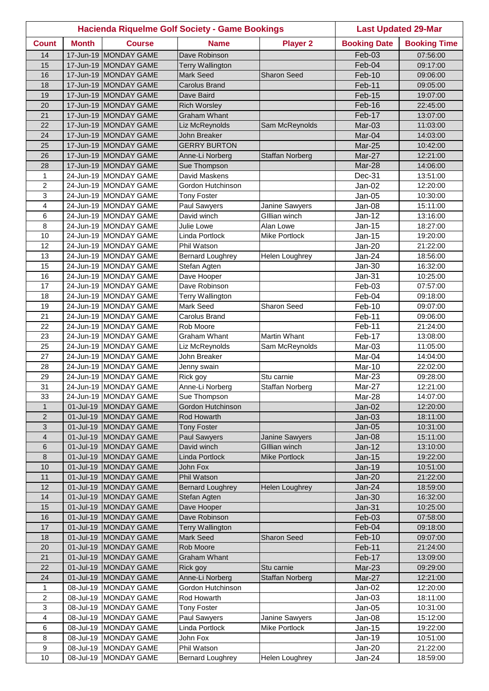|                  |              |                                                | <b>Hacienda Riquelme Golf Society - Game Bookings</b> |                                   | <b>Last Updated 29-Mar</b> |                      |
|------------------|--------------|------------------------------------------------|-------------------------------------------------------|-----------------------------------|----------------------------|----------------------|
| <b>Count</b>     | <b>Month</b> | <b>Course</b>                                  | <b>Name</b>                                           | <b>Player 2</b>                   | <b>Booking Date</b>        | <b>Booking Time</b>  |
| 14               |              | 17-Jun-19 MONDAY GAME                          | Dave Robinson                                         |                                   | Feb-03                     | 07:56:00             |
| 15               |              | 17-Jun-19 MONDAY GAME                          | <b>Terry Wallington</b>                               |                                   | Feb-04                     | 09:17:00             |
| 16               |              | 17-Jun-19 MONDAY GAME                          | <b>Mark Seed</b>                                      | <b>Sharon Seed</b>                | Feb-10                     | 09:06:00             |
| 18               |              | 17-Jun-19 MONDAY GAME                          | <b>Carolus Brand</b>                                  |                                   | Feb-11                     | 09:05:00             |
| 19               |              | 17-Jun-19 MONDAY GAME                          | Dave Baird                                            |                                   | Feb-15                     | 19:07:00             |
| 20               |              | 17-Jun-19 MONDAY GAME                          | <b>Rich Worsley</b>                                   |                                   | Feb-16                     | 22:45:00             |
| 21               |              | 17-Jun-19 MONDAY GAME                          | <b>Graham Whant</b>                                   |                                   | Feb-17                     | 13:07:00             |
| 22               |              | 17-Jun-19 MONDAY GAME                          | Liz McReynolds                                        | Sam McReynolds                    | Mar-03                     | 11:03:00             |
| 24               |              | 17-Jun-19 MONDAY GAME                          | John Breaker                                          |                                   | Mar-04                     | 14:03:00             |
| 25               |              | 17-Jun-19 MONDAY GAME                          | <b>GERRY BURTON</b>                                   |                                   | Mar-25                     | 10:42:00             |
| 26               |              | 17-Jun-19 MONDAY GAME                          | Anne-Li Norberg                                       | <b>Staffan Norberg</b>            | Mar-27                     | 12:21:00             |
| 28               |              | 17-Jun-19 MONDAY GAME                          | Sue Thompson                                          |                                   | Mar-28                     | 14:06:00             |
| $\mathbf{1}$     |              | 24-Jun-19 MONDAY GAME                          | David Maskens                                         |                                   | Dec-31                     | 13:51:00             |
| $\overline{c}$   |              | 24-Jun-19 MONDAY GAME                          | Gordon Hutchinson                                     |                                   | Jan-02                     | 12:20:00             |
| 3                |              | 24-Jun-19 MONDAY GAME                          | <b>Tony Foster</b>                                    |                                   | Jan-05                     | 10:30:00             |
| 4                |              | 24-Jun-19 MONDAY GAME                          | Paul Sawyers                                          | Janine Sawyers                    | Jan-08                     | 15:11:00             |
| 6                |              | 24-Jun-19 MONDAY GAME                          | David winch                                           | Gillian winch                     | Jan-12                     | 13:16:00             |
| 8<br>10          |              | 24-Jun-19 MONDAY GAME<br>24-Jun-19 MONDAY GAME | Julie Lowe<br>Linda Portlock                          | Alan Lowe<br><b>Mike Portlock</b> | Jan-15<br>Jan-15           | 18:27:00<br>19:20:00 |
| 12               |              | 24-Jun-19 MONDAY GAME                          | Phil Watson                                           |                                   | <b>Jan-20</b>              |                      |
| 13               |              | 24-Jun-19 MONDAY GAME                          |                                                       | <b>Helen Loughrey</b>             | Jan-24                     | 21:22:00<br>18:56:00 |
| 15               |              | 24-Jun-19 MONDAY GAME                          | <b>Bernard Loughrey</b><br>Stefan Agten               |                                   | Jan-30                     | 16:32:00             |
| 16               |              | 24-Jun-19 MONDAY GAME                          | Dave Hooper                                           |                                   | Jan-31                     | 10:25:00             |
| 17               |              | 24-Jun-19 MONDAY GAME                          | Dave Robinson                                         |                                   | Feb-03                     | 07:57:00             |
| 18               |              | 24-Jun-19 MONDAY GAME                          | Terry Wallington                                      |                                   | Feb-04                     | 09:18:00             |
| 19               |              | 24-Jun-19 MONDAY GAME                          | <b>Mark Seed</b>                                      | Sharon Seed                       | Feb-10                     | 09:07:00             |
| 21               |              | 24-Jun-19 MONDAY GAME                          | Carolus Brand                                         |                                   | Feb-11                     | 09:06:00             |
| 22               |              | 24-Jun-19 MONDAY GAME                          | Rob Moore                                             |                                   | Feb-11                     | 21:24:00             |
| 23               |              | 24-Jun-19 MONDAY GAME                          | Graham Whant                                          | Martin Whant                      | Feb-17                     | 13:08:00             |
| 25               |              | 24-Jun-19 MONDAY GAME                          | Liz McReynolds                                        | Sam McReynolds                    | Mar-03                     | 11:05:00             |
| 27               |              | 24-Jun-19 MONDAY GAME                          | John Breaker                                          |                                   | Mar-04                     | 14:04:00             |
| 28               |              | 24-Jun-19 MONDAY GAME                          | Jenny swain                                           |                                   | Mar-10                     | 22:02:00             |
| 29               |              | 24-Jun-19 MONDAY GAME                          | Rick goy                                              | Stu carnie                        | Mar-23                     | 09:28:00             |
| 31               |              | 24-Jun-19 MONDAY GAME                          | Anne-Li Norberg                                       | Staffan Norberg                   | Mar-27                     | 12:21:00             |
| 33               |              | 24-Jun-19 MONDAY GAME                          | Sue Thompson                                          |                                   | Mar-28                     | 14:07:00             |
| $\mathbf{1}$     |              | 01-Jul-19 MONDAY GAME                          | Gordon Hutchinson                                     |                                   | $Jan-02$                   | 12:20:00             |
| $\overline{2}$   |              | 01-Jul-19 MONDAY GAME                          | Rod Howarth                                           |                                   | $Jan-03$                   | 18:11:00             |
| 3                |              | 01-Jul-19 MONDAY GAME                          | <b>Tony Foster</b>                                    |                                   | $Jan-05$                   | 10:31:00             |
| 4                |              | 01-Jul-19 MONDAY GAME                          | <b>Paul Sawyers</b>                                   | Janine Sawyers                    | Jan-08                     | 15:11:00             |
| 6                |              | 01-Jul-19 MONDAY GAME                          | David winch                                           | GIllian winch                     | <b>Jan-12</b>              | 13:10:00             |
| 8                |              | 01-Jul-19 MONDAY GAME                          | Linda Portlock                                        | <b>Mike Portlock</b>              | <b>Jan-15</b>              | 19:22:00             |
| 10               |              | 01-Jul-19 MONDAY GAME                          | John Fox                                              |                                   | <b>Jan-19</b>              | 10:51:00             |
| 11               |              | 01-Jul-19 MONDAY GAME                          | Phil Watson                                           |                                   | <b>Jan-20</b>              | 21:22:00             |
| 12               |              | 01-Jul-19 MONDAY GAME                          | <b>Bernard Loughrey</b>                               | Helen Loughrey                    | Jan-24                     | 18:59:00             |
| 14               |              | 01-Jul-19 MONDAY GAME                          | Stefan Agten                                          |                                   | $Jan-30$                   | 16:32:00             |
| 15               |              | 01-Jul-19 MONDAY GAME                          | Dave Hooper                                           |                                   | $Jan-31$                   | 10:25:00             |
| 16               |              | 01-Jul-19 MONDAY GAME                          | Dave Robinson                                         |                                   | Feb-03                     | 07:58:00             |
| 17               |              | 01-Jul-19 MONDAY GAME                          | Terry Wallington                                      |                                   | Feb-04                     | 09:18:00             |
| 18               |              | 01-Jul-19 MONDAY GAME                          | <b>Mark Seed</b>                                      | <b>Sharon Seed</b>                | Feb-10                     | 09:07:00             |
| 20               |              | 01-Jul-19 MONDAY GAME                          | Rob Moore                                             |                                   | Feb-11                     | 21:24:00             |
| 21               | 01-Jul-19    | <b>MONDAY GAME</b>                             | <b>Graham Whant</b>                                   |                                   | Feb-17                     | 13:09:00             |
| 22               |              | 01-Jul-19 MONDAY GAME                          | Rick goy                                              | Stu carnie                        | Mar-23                     | 09:29:00             |
| 24               |              | 01-Jul-19 MONDAY GAME                          | Anne-Li Norberg                                       | <b>Staffan Norberg</b>            | Mar-27                     | 12:21:00             |
| 1                |              | 08-Jul-19 MONDAY GAME                          | Gordon Hutchinson                                     |                                   | Jan-02                     | 12:20:00             |
| $\boldsymbol{2}$ |              | 08-Jul-19 MONDAY GAME                          | Rod Howarth                                           |                                   | $Jan-03$                   | 18:11:00             |
| 3                |              | 08-Jul-19 MONDAY GAME                          | <b>Tony Foster</b>                                    |                                   | Jan-05                     | 10:31:00             |
| 4                |              | 08-Jul-19 MONDAY GAME                          | Paul Sawyers                                          | Janine Sawyers                    | Jan-08                     | 15:12:00             |
| 6                |              | 08-Jul-19 MONDAY GAME<br>08-Jul-19 MONDAY GAME | Linda Portlock                                        | <b>Mike Portlock</b>              | Jan-15                     | 19:22:00             |
| 8<br>9           |              | 08-Jul-19 MONDAY GAME                          | John Fox<br>Phil Watson                               |                                   | Jan-19<br>$Jan-20$         | 10:51:00<br>21:22:00 |
| 10               |              | 08-Jul-19 MONDAY GAME                          | <b>Bernard Loughrey</b>                               | Helen Loughrey                    | Jan-24                     | 18:59:00             |
|                  |              |                                                |                                                       |                                   |                            |                      |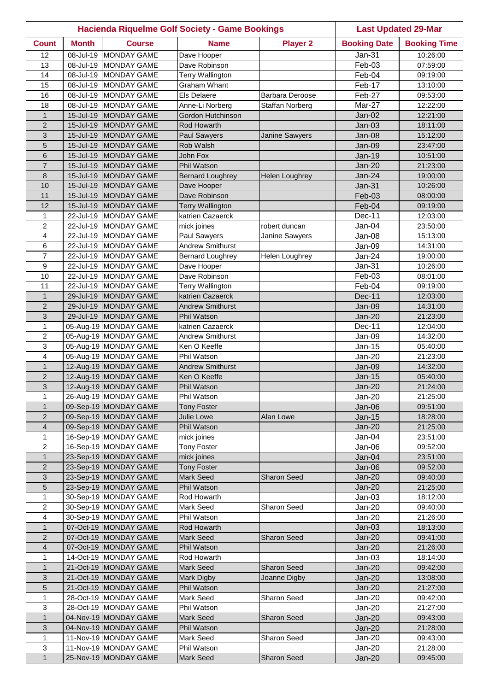| <b>Hacienda Riquelme Golf Society - Game Bookings</b> |              |                                                | <b>Last Updated 29-Mar</b>                  |                        |                     |                      |
|-------------------------------------------------------|--------------|------------------------------------------------|---------------------------------------------|------------------------|---------------------|----------------------|
| <b>Count</b>                                          | <b>Month</b> | <b>Course</b>                                  | <b>Name</b>                                 | <b>Player 2</b>        | <b>Booking Date</b> | <b>Booking Time</b>  |
| 12                                                    | 08-Jul-19    | <b>MONDAY GAME</b>                             | Dave Hooper                                 |                        | Jan-31              | 10:26:00             |
| 13                                                    | 08-Jul-19    | <b>MONDAY GAME</b>                             | Dave Robinson                               |                        | Feb-03              | 07:59:00             |
| 14                                                    |              | 08-Jul-19 MONDAY GAME                          | Terry Wallington                            |                        | Feb-04              | 09:19:00             |
| 15                                                    |              | 08-Jul-19 MONDAY GAME                          | Graham Whant                                |                        | Feb-17              | 13:10:00             |
| 16                                                    |              | 08-Jul-19 MONDAY GAME                          | Els Delaere                                 | <b>Barbara Deroose</b> | Feb-27              | 09:53:00             |
| 18                                                    |              | 08-Jul-19 MONDAY GAME                          | Anne-Li Norberg                             | <b>Staffan Norberg</b> | Mar-27              | 12:22:00             |
| $\mathbf{1}$                                          |              | 15-Jul-19 MONDAY GAME                          | Gordon Hutchinson                           |                        | $Jan-02$            | 12:21:00             |
| $\overline{2}$                                        |              | 15-Jul-19 MONDAY GAME                          | Rod Howarth                                 |                        | $Jan-03$            | 18:11:00             |
| 3                                                     |              | 15-Jul-19 MONDAY GAME                          | Paul Sawyers                                | Janine Sawyers         | Jan-08              | 15:12:00             |
| 5                                                     |              | 15-Jul-19 MONDAY GAME                          | Rob Walsh                                   |                        | Jan-09              | 23:47:00             |
| 6                                                     |              | 15-Jul-19 MONDAY GAME                          | <b>John Fox</b>                             |                        | $Jan-19$            | 10:51:00             |
| $\overline{7}$                                        |              | 15-Jul-19 MONDAY GAME                          | Phil Watson                                 |                        | Jan-20              | 21:23:00             |
| 8                                                     |              | 15-Jul-19 MONDAY GAME                          | <b>Bernard Loughrey</b>                     | Helen Loughrey         | Jan-24              | 19:00:00             |
| 10                                                    |              | 15-Jul-19 MONDAY GAME                          | Dave Hooper                                 |                        | Jan-31              | 10:26:00             |
| 11                                                    | 15-Jul-19    | MONDAY GAME                                    | Dave Robinson                               |                        | Feb-03              | 08:00:00             |
| 12                                                    | 15-Jul-19    | MONDAY GAME                                    | <b>Terry Wallington</b><br>katrien Cazaerck |                        | Feb-04              | 09:19:00             |
| 1<br>$\overline{2}$                                   |              | 22-Jul-19 MONDAY GAME                          |                                             |                        | Dec-11              | 12:03:00             |
| $\overline{\mathbf{4}}$                               |              | 22-Jul-19 MONDAY GAME<br>22-Jul-19 MONDAY GAME | mick joines<br>Paul Sawyers                 | robert duncan          | Jan-04              | 23:50:00<br>15:13:00 |
| 6                                                     |              | 22-Jul-19 MONDAY GAME                          | <b>Andrew Smithurst</b>                     | Janine Sawyers         | Jan-08<br>Jan-09    |                      |
| $\overline{7}$                                        |              | 22-Jul-19 MONDAY GAME                          |                                             |                        | Jan-24              | 14:31:00             |
| 9                                                     | 22-Jul-19    | <b>MONDAY GAME</b>                             | <b>Bernard Loughrey</b><br>Dave Hooper      | Helen Loughrey         | Jan-31              | 19:00:00<br>10:26:00 |
| 10                                                    | 22-Jul-19    | <b>MONDAY GAME</b>                             | Dave Robinson                               |                        | Feb-03              | 08:01:00             |
| 11                                                    |              | 22-Jul-19 MONDAY GAME                          | Terry Wallington                            |                        | Feb-04              | 09:19:00             |
| $\mathbf{1}$                                          | 29-Jul-19    | <b>MONDAY GAME</b>                             | katrien Cazaerck                            |                        | Dec-11              | 12:03:00             |
| $\overline{2}$                                        |              | 29-Jul-19 MONDAY GAME                          | <b>Andrew Smithurst</b>                     |                        | Jan-09              | 14:31:00             |
| 3                                                     |              | 29-Jul-19 MONDAY GAME                          | Phil Watson                                 |                        | <b>Jan-20</b>       | 21:23:00             |
| 1                                                     |              | 05-Aug-19 MONDAY GAME                          | katrien Cazaerck                            |                        | Dec-11              | 12:04:00             |
| 2                                                     |              | 05-Aug-19 MONDAY GAME                          | <b>Andrew Smithurst</b>                     |                        | Jan-09              | 14:32:00             |
| 3                                                     |              | 05-Aug-19 MONDAY GAME                          | Ken O Keeffe                                |                        | Jan-15              | 05:40:00             |
| 4                                                     |              | 05-Aug-19 MONDAY GAME                          | Phil Watson                                 |                        | <b>Jan-20</b>       | 21:23:00             |
| $\mathbf{1}$                                          |              | 12-Aug-19 MONDAY GAME                          | <b>Andrew Smithurst</b>                     |                        | Jan-09              | 14:32:00             |
| $\overline{2}$                                        |              | 12-Aug-19 MONDAY GAME                          | Ken O Keeffe                                |                        | <b>Jan-15</b>       | 05:40:00             |
| 3                                                     |              | 12-Aug-19 MONDAY GAME                          | Phil Watson                                 |                        | $Jan-20$            | 21:24:00             |
| $\mathbf{1}$                                          |              | 26-Aug-19 MONDAY GAME                          | Phil Watson                                 |                        | Jan-20              | 21:25:00             |
| $\mathbf{1}$                                          |              | 09-Sep-19 MONDAY GAME                          | <b>Tony Foster</b>                          |                        | $Jan-06$            | 09:51:00             |
| $\overline{2}$                                        |              | 09-Sep-19 MONDAY GAME                          | <b>Julie Lowe</b>                           | Alan Lowe              | Jan-15              | 18:28:00             |
| $\overline{\mathbf{4}}$                               |              | 09-Sep-19 MONDAY GAME                          | Phil Watson                                 |                        | <b>Jan-20</b>       | 21:25:00             |
| $\mathbf{1}$                                          |              | 16-Sep-19 MONDAY GAME                          | mick joines                                 |                        | Jan-04              | 23:51:00             |
| $\overline{c}$                                        |              | 16-Sep-19 MONDAY GAME                          | <b>Tony Foster</b>                          |                        | Jan-06              | 09:52:00             |
| $\mathbf{1}$                                          |              | 23-Sep-19 MONDAY GAME                          | mick joines                                 |                        | $Jan-04$            | 23:51:00             |
| $\overline{2}$                                        |              | 23-Sep-19 MONDAY GAME                          | <b>Tony Foster</b>                          |                        | $Jan-06$            | 09:52:00             |
| 3                                                     |              | 23-Sep-19 MONDAY GAME                          | Mark Seed                                   | <b>Sharon Seed</b>     | <b>Jan-20</b>       | 09:40:00             |
| 5                                                     |              | 23-Sep-19 MONDAY GAME                          | Phil Watson                                 |                        | $Jan-20$            | 21:25:00             |
| 1                                                     |              | 30-Sep-19 MONDAY GAME                          | Rod Howarth                                 |                        | $Jan-03$            | 18:12:00             |
| $\overline{c}$                                        |              | 30-Sep-19 MONDAY GAME                          | Mark Seed                                   | Sharon Seed            | <b>Jan-20</b>       | 09:40:00             |
| 4                                                     |              | 30-Sep-19 MONDAY GAME                          | Phil Watson                                 |                        | $Jan-20$            | 21:26:00             |
| $\mathbf{1}$                                          |              | 07-Oct-19 MONDAY GAME                          | Rod Howarth                                 |                        | $Jan-03$            | 18:13:00             |
| $\overline{c}$                                        |              | 07-Oct-19 MONDAY GAME                          | <b>Mark Seed</b>                            | <b>Sharon Seed</b>     | $Jan-20$            | 09:41:00             |
| 4                                                     |              | 07-Oct-19 MONDAY GAME                          | Phil Watson                                 |                        | $Jan-20$            | 21:26:00             |
| 1                                                     |              | 14-Oct-19 MONDAY GAME                          | Rod Howarth                                 |                        | $Jan-03$            | 18:14:00             |
| $\mathbf{1}$                                          |              | 21-Oct-19 MONDAY GAME                          | <b>Mark Seed</b>                            | <b>Sharon Seed</b>     | $Jan-20$            | 09:42:00             |
| 3                                                     |              | 21-Oct-19 MONDAY GAME                          | <b>Mark Digby</b>                           | Joanne Digby           | $Jan-20$            | 13:08:00             |
| 5                                                     |              | 21-Oct-19 MONDAY GAME<br>28-Oct-19 MONDAY GAME | Phil Watson<br>Mark Seed                    |                        | $Jan-20$            | 21:27:00             |
| 1                                                     |              | 28-Oct-19 MONDAY GAME                          |                                             | Sharon Seed            | Jan-20              | 09:42:00             |
| 3<br>$\mathbf{1}$                                     |              | 04-Nov-19 MONDAY GAME                          | Phil Watson<br><b>Mark Seed</b>             | <b>Sharon Seed</b>     | Jan-20<br>$Jan-20$  | 21:27:00<br>09:43:00 |
| 3                                                     |              | 04-Nov-19 MONDAY GAME                          | Phil Watson                                 |                        | Jan-20              | 21:28:00             |
| $\mathbf{1}$                                          |              | 11-Nov-19 MONDAY GAME                          | <b>Mark Seed</b>                            | Sharon Seed            | Jan-20              | 09:43:00             |
| 3                                                     |              | 11-Nov-19 MONDAY GAME                          | Phil Watson                                 |                        | Jan-20              | 21:28:00             |
| $\mathbf{1}$                                          |              | 25-Nov-19 MONDAY GAME                          | <b>Mark Seed</b>                            | <b>Sharon Seed</b>     | $Jan-20$            | 09:45:00             |
|                                                       |              |                                                |                                             |                        |                     |                      |